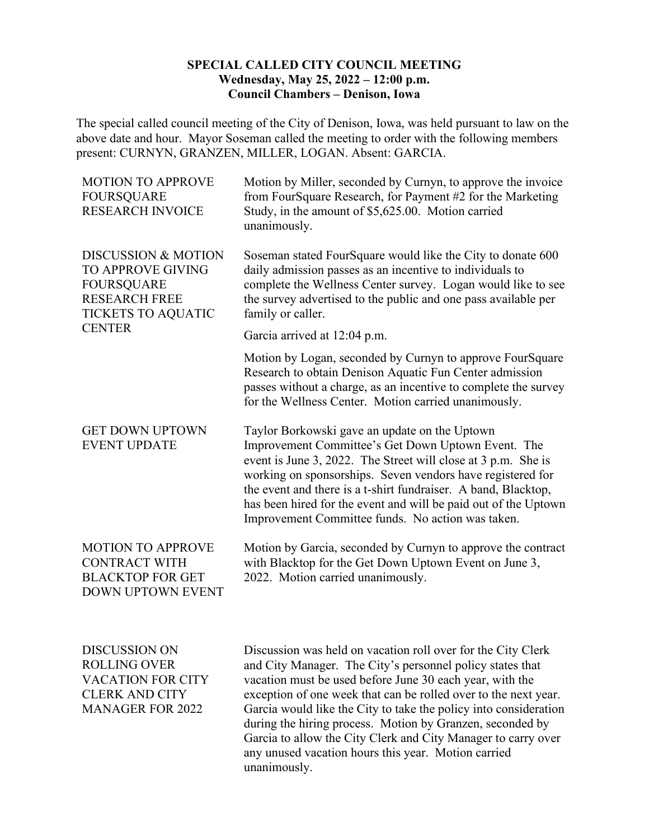## **SPECIAL CALLED CITY COUNCIL MEETING Wednesday, May 25, 2022 ‒ 12:00 p.m. Council Chambers ‒ Denison, Iowa**

The special called council meeting of the City of Denison, Iowa, was held pursuant to law on the above date and hour. Mayor Soseman called the meeting to order with the following members present: CURNYN, GRANZEN, MILLER, LOGAN. Absent: GARCIA.

| <b>MOTION TO APPROVE</b><br><b>FOURSQUARE</b><br><b>RESEARCH INVOICE</b>                                                                       | Motion by Miller, seconded by Curnyn, to approve the invoice<br>from FourSquare Research, for Payment #2 for the Marketing<br>Study, in the amount of \$5,625.00. Motion carried<br>unanimously.                                                                                                                                                                                                                             |
|------------------------------------------------------------------------------------------------------------------------------------------------|------------------------------------------------------------------------------------------------------------------------------------------------------------------------------------------------------------------------------------------------------------------------------------------------------------------------------------------------------------------------------------------------------------------------------|
| <b>DISCUSSION &amp; MOTION</b><br>TO APPROVE GIVING<br><b>FOURSQUARE</b><br><b>RESEARCH FREE</b><br><b>TICKETS TO AQUATIC</b><br><b>CENTER</b> | Soseman stated FourSquare would like the City to donate 600<br>daily admission passes as an incentive to individuals to<br>complete the Wellness Center survey. Logan would like to see<br>the survey advertised to the public and one pass available per<br>family or caller.                                                                                                                                               |
|                                                                                                                                                | Garcia arrived at 12:04 p.m.                                                                                                                                                                                                                                                                                                                                                                                                 |
|                                                                                                                                                | Motion by Logan, seconded by Curnyn to approve FourSquare<br>Research to obtain Denison Aquatic Fun Center admission<br>passes without a charge, as an incentive to complete the survey<br>for the Wellness Center. Motion carried unanimously.                                                                                                                                                                              |
| <b>GET DOWN UPTOWN</b><br><b>EVENT UPDATE</b>                                                                                                  | Taylor Borkowski gave an update on the Uptown<br>Improvement Committee's Get Down Uptown Event. The<br>event is June 3, 2022. The Street will close at 3 p.m. She is<br>working on sponsorships. Seven vendors have registered for<br>the event and there is a t-shirt fundraiser. A band, Blacktop,<br>has been hired for the event and will be paid out of the Uptown<br>Improvement Committee funds. No action was taken. |
| <b>MOTION TO APPROVE</b><br><b>CONTRACT WITH</b><br><b>BLACKTOP FOR GET</b><br><b>DOWN UPTOWN EVENT</b>                                        | Motion by Garcia, seconded by Curnyn to approve the contract<br>with Blacktop for the Get Down Uptown Event on June 3,<br>2022. Motion carried unanimously.                                                                                                                                                                                                                                                                  |
| <b>DISCUSSION ON</b><br><b>ROLLING OVER</b>                                                                                                    | Discussion was held on vacation roll over for the City Clerk<br>and City Manager. The City's personnel policy states that                                                                                                                                                                                                                                                                                                    |

VACATION FOR CITY CLERK AND CITY MANAGER FOR 2022

and City Manager. The City's personnel policy states that vacation must be used before June 30 each year, with the exception of one week that can be rolled over to the next year. Garcia would like the City to take the policy into consideration during the hiring process. Motion by Granzen, seconded by Garcia to allow the City Clerk and City Manager to carry over any unused vacation hours this year. Motion carried unanimously.